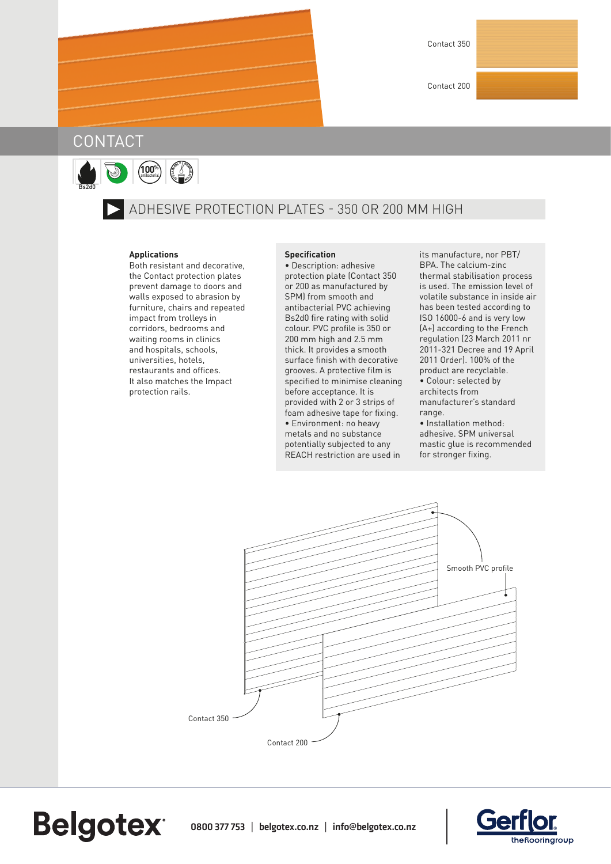Contact 200

## **CONTACT**

Bs2d0

**Belgotex** 

**100%** antibacterial **<sup>S</sup>USTA<sup>I</sup>NABL<sup>E</sup> <sup>F</sup>ORMU<sup>L</sup>A<sup>T</sup> <sup>O</sup><sup>I</sup> N**

## ADHESIVE PROTECTION PLATES - 350 OR 200 MM HIGH

## **Applications**

Both resistant and decorative, the Contact protection plates prevent damage to doors and walls exposed to abrasion by furniture, chairs and repeated impact from trolleys in corridors, bedrooms and waiting rooms in clinics and hospitals, schools, universities, hotels, restaurants and offices. It also matches the Impact protection rails.

## **Specification**

• Description: adhesive protection plate (Contact 350 or 200 as manufactured by SPM) from smooth and antibacterial PVC achieving Bs2d0 fire rating with solid colour. PVC profile is 350 or 200 mm high and 2.5 mm thick. It provides a smooth surface finish with decorative grooves. A protective film is specified to minimise cleaning before acceptance. It is provided with 2 or 3 strips of foam adhesive tape for fixing. • Environment: no heavy metals and no substance potentially subjected to any REACH restriction are used in

its manufacture, nor PBT/ BPA. The calcium-zinc thermal stabilisation process is used. The emission level of volatile substance in inside air has been tested according to ISO 16000-6 and is very low (A+) according to the French regulation (23 March 2011 nr 2011-321 Decree and 19 April 2011 Order). 100% of the product are recyclable. • Colour: selected by architects from manufacturer's standard range.

• Installation method: adhesive. SPM universal mastic glue is recommended for stronger fixing.